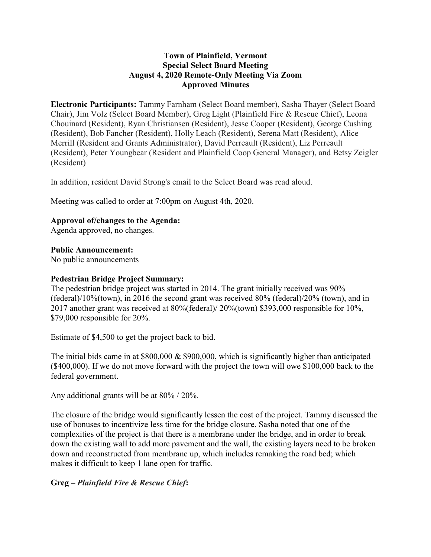## **Town of Plainfield, Vermont Special Select Board Meeting August 4, 2020 Remote-Only Meeting Via Zoom Approved Minutes**

**Electronic Participants:** Tammy Farnham (Select Board member), Sasha Thayer (Select Board Chair), Jim Volz (Select Board Member), Greg Light (Plainfield Fire & Rescue Chief), Leona Chouinard (Resident), Ryan Christiansen (Resident), Jesse Cooper (Resident), George Cushing (Resident), Bob Fancher (Resident), Holly Leach (Resident), Serena Matt (Resident), Alice Merrill (Resident and Grants Administrator), David Perreault (Resident), Liz Perreault (Resident), Peter Youngbear (Resident and Plainfield Coop General Manager), and Betsy Zeigler (Resident)

In addition, resident David Strong's email to the Select Board was read aloud.

Meeting was called to order at 7:00pm on August 4th, 2020.

## **Approval of/changes to the Agenda:**

Agenda approved, no changes.

#### **Public Announcement:**

No public announcements

#### **Pedestrian Bridge Project Summary:**

The pedestrian bridge project was started in 2014. The grant initially received was 90% (federal)/10%(town), in 2016 the second grant was received 80% (federal)/20% (town), and in 2017 another grant was received at 80%(federal)/ 20%(town) \$393,000 responsible for 10%, \$79,000 responsible for 20%.

Estimate of \$4,500 to get the project back to bid.

The initial bids came in at  $$800,000 \& $900,000$ , which is significantly higher than anticipated (\$400,000). If we do not move forward with the project the town will owe \$100,000 back to the federal government.

Any additional grants will be at 80% / 20%.

The closure of the bridge would significantly lessen the cost of the project. Tammy discussed the use of bonuses to incentivize less time for the bridge closure. Sasha noted that one of the complexities of the project is that there is a membrane under the bridge, and in order to break down the existing wall to add more pavement and the wall, the existing layers need to be broken down and reconstructed from membrane up, which includes remaking the road bed; which makes it difficult to keep 1 lane open for traffic.

## **Greg –** *Plainfield Fire & Rescue Chief***:**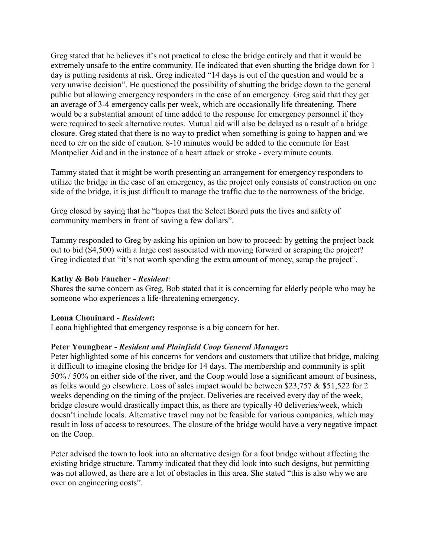Greg stated that he believes it's not practical to close the bridge entirely and that it would be extremely unsafe to the entire community. He indicated that even shutting the bridge down for 1 day is putting residents at risk. Greg indicated "14 days is out of the question and would be a very unwise decision". He questioned the possibility of shutting the bridge down to the general public but allowing emergency responders in the case of an emergency. Greg said that they get an average of 3-4 emergency calls per week, which are occasionally life threatening. There would be a substantial amount of time added to the response for emergency personnel if they were required to seek alternative routes. Mutual aid will also be delayed as a result of a bridge closure. Greg stated that there is no way to predict when something is going to happen and we need to err on the side of caution. 8-10 minutes would be added to the commute for East Montpelier Aid and in the instance of a heart attack or stroke - every minute counts.

Tammy stated that it might be worth presenting an arrangement for emergency responders to utilize the bridge in the case of an emergency, as the project only consists of construction on one side of the bridge, it is just difficult to manage the traffic due to the narrowness of the bridge.

Greg closed by saying that he "hopes that the Select Board puts the lives and safety of community members in front of saving a few dollars".

Tammy responded to Greg by asking his opinion on how to proceed: by getting the project back out to bid (\$4,500) with a large cost associated with moving forward or scraping the project? Greg indicated that "it's not worth spending the extra amount of money, scrap the project".

## **Kathy & Bob Fancher -** *Resident*:

Shares the same concern as Greg, Bob stated that it is concerning for elderly people who may be someone who experiences a life-threatening emergency.

#### **Leona Chouinard -** *Resident***:**

Leona highlighted that emergency response is a big concern for her.

## **Peter Youngbear -** *Resident and Plainfield Coop General Manager***:**

Peter highlighted some of his concerns for vendors and customers that utilize that bridge, making it difficult to imagine closing the bridge for 14 days. The membership and community is split 50% / 50% on either side of the river, and the Coop would lose a significant amount of business, as folks would go elsewhere. Loss of sales impact would be between \$23,757 & \$51,522 for 2 weeks depending on the timing of the project. Deliveries are received every day of the week, bridge closure would drastically impact this, as there are typically 40 deliveries/week, which doesn't include locals. Alternative travel may not be feasible for various companies, which may result in loss of access to resources. The closure of the bridge would have a very negative impact on the Coop.

Peter advised the town to look into an alternative design for a foot bridge without affecting the existing bridge structure. Tammy indicated that they did look into such designs, but permitting was not allowed, as there are a lot of obstacles in this area. She stated "this is also why we are over on engineering costs".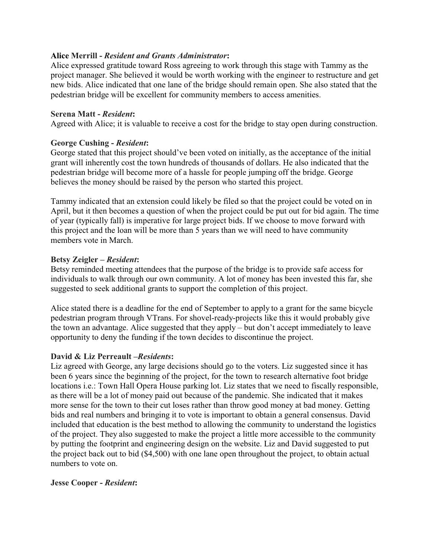## **Alice Merrill -** *Resident and Grants Administrator***:**

Alice expressed gratitude toward Ross agreeing to work through this stage with Tammy as the project manager. She believed it would be worth working with the engineer to restructure and get new bids. Alice indicated that one lane of the bridge should remain open. She also stated that the pedestrian bridge will be excellent for community members to access amenities.

## **Serena Matt -** *Resident***:**

Agreed with Alice; it is valuable to receive a cost for the bridge to stay open during construction.

## **George Cushing -** *Resident***:**

George stated that this project should've been voted on initially, as the acceptance of the initial grant will inherently cost the town hundreds of thousands of dollars. He also indicated that the pedestrian bridge will become more of a hassle for people jumping off the bridge. George believes the money should be raised by the person who started this project.

Tammy indicated that an extension could likely be filed so that the project could be voted on in April, but it then becomes a question of when the project could be put out for bid again. The time of year (typically fall) is imperative for large project bids. If we choose to move forward with this project and the loan will be more than 5 years than we will need to have community members vote in March.

## **Betsy Zeigler –** *Resident***:**

Betsy reminded meeting attendees that the purpose of the bridge is to provide safe access for individuals to walk through our own community. A lot of money has been invested this far, she suggested to seek additional grants to support the completion of this project.

Alice stated there is a deadline for the end of September to apply to a grant for the same bicycle pedestrian program through VTrans. For shovel-ready-projects like this it would probably give the town an advantage. Alice suggested that they apply – but don't accept immediately to leave opportunity to deny the funding if the town decides to discontinue the project.

## **David & Liz Perreault –***Residents***:**

Liz agreed with George, any large decisions should go to the voters. Liz suggested since it has been 6 years since the beginning of the project, for the town to research alternative foot bridge locations i.e.: Town Hall Opera House parking lot. Liz states that we need to fiscally responsible, as there will be a lot of money paid out because of the pandemic. She indicated that it makes more sense for the town to their cut loses rather than throw good money at bad money. Getting bids and real numbers and bringing it to vote is important to obtain a general consensus. David included that education is the best method to allowing the community to understand the logistics of the project. They also suggested to make the project a little more accessible to the community by putting the footprint and engineering design on the website. Liz and David suggested to put the project back out to bid (\$4,500) with one lane open throughout the project, to obtain actual numbers to vote on.

#### **Jesse Cooper -** *Resident***:**